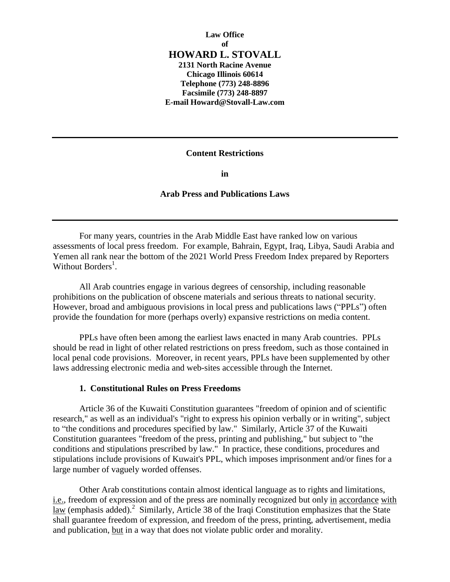# **Law Office of HOWARD L. STOVALL 2131 North Racine Avenue Chicago Illinois 60614 Telephone (773) 248-8896**

**Facsimile (773) 248-8897 E-mail Howard@Stovall-Law.com**

#### **Content Restrictions**

**in**

# **Arab Press and Publications Laws**

For many years, countries in the Arab Middle East have ranked low on various assessments of local press freedom. For example, Bahrain, Egypt, Iraq, Libya, Saudi Arabia and Yemen all rank near the bottom of the 2021 World Press Freedom Index prepared by Reporters Without Borders<sup>1</sup>.

All Arab countries engage in various degrees of censorship, including reasonable prohibitions on the publication of obscene materials and serious threats to national security. However, broad and ambiguous provisions in local press and publications laws ("PPLs") often provide the foundation for more (perhaps overly) expansive restrictions on media content.

PPLs have often been among the earliest laws enacted in many Arab countries. PPLs should be read in light of other related restrictions on press freedom, such as those contained in local penal code provisions. Moreover, in recent years, PPLs have been supplemented by other laws addressing electronic media and web-sites accessible through the Internet.

#### **1. Constitutional Rules on Press Freedoms**

Article 36 of the Kuwaiti Constitution guarantees "freedom of opinion and of scientific research," as well as an individual's "right to express his opinion verbally or in writing", subject to "the conditions and procedures specified by law." Similarly, Article 37 of the Kuwaiti Constitution guarantees "freedom of the press, printing and publishing," but subject to "the conditions and stipulations prescribed by law." In practice, these conditions, procedures and stipulations include provisions of Kuwait's PPL, which imposes imprisonment and/or fines for a large number of vaguely worded offenses.

Other Arab constitutions contain almost identical language as to rights and limitations, i.e., freedom of expression and of the press are nominally recognized but only in accordance with  $\overline{\text{law}}$  (emphasis added).<sup>2</sup> Similarly, Article 38 of the Iraqi Constitution emphasizes that the State shall guarantee freedom of expression, and freedom of the press, printing, advertisement, media and publication, but in a way that does not violate public order and morality.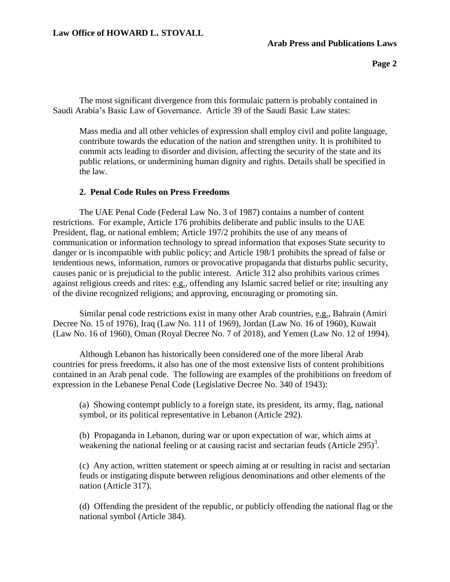# **Law Office of HOWARD L. STOVALL**

#### **Arab Press and Publications Laws**

The most significant divergence from this formulaic pattern is probably contained in Saudi Arabia's Basic Law of Governance. Article 39 of the Saudi Basic Law states:

Mass media and all other vehicles of expression shall employ civil and polite language, contribute towards the education of the nation and strengthen unity. It is prohibited to commit acts leading to disorder and division, affecting the security of the state and its public relations, or undermining human dignity and rights. Details shall be specified in the law.

#### **2. Penal Code Rules on Press Freedoms**

The UAE Penal Code (Federal Law No. 3 of 1987) contains a number of content restrictions. For example, Article 176 prohibits deliberate and public insults to the UAE President, flag, or national emblem; Article 197/2 prohibits the use of any means of communication or information technology to spread information that exposes State security to danger or is incompatible with public policy; and Article 198/1 prohibits the spread of false or tendentious news, information, rumors or provocative propaganda that disturbs public security, causes panic or is prejudicial to the public interest. Article 312 also prohibits various crimes against religious creeds and rites: e.g., offending any Islamic sacred belief or rite; insulting any of the divine recognized religions; and approving, encouraging or promoting sin.

Similar penal code restrictions exist in many other Arab countries, e.g., Bahrain (Amiri Decree No. 15 of 1976), Iraq (Law No. 111 of 1969), Jordan (Law No. 16 of 1960), Kuwait (Law No. 16 of 1960), Oman (Royal Decree No. 7 of 2018), and Yemen (Law No. 12 of 1994).

Although Lebanon has historically been considered one of the more liberal Arab countries for press freedoms, it also has one of the most extensive lists of content prohibitions contained in an Arab penal code. The following are examples of the prohibitions on freedom of expression in the Lebanese Penal Code (Legislative Decree No. 340 of 1943):

(a) Showing contempt publicly to a foreign state, its president, its army, flag, national symbol, or its political representative in Lebanon (Article 292).

(b) Propaganda in Lebanon, during war or upon expectation of war, which aims at weakening the national feeling or at causing racist and sectarian feuds  $(A$ rticle 295 $)^3$ .

(c) Any action, written statement or speech aiming at or resulting in racist and sectarian feuds or instigating dispute between religious denominations and other elements of the nation (Article 317).

(d) Offending the president of the republic, or publicly offending the national flag or the national symbol (Article 384).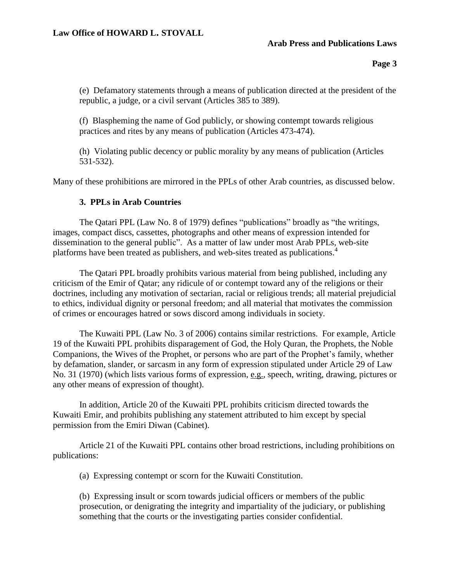# **Arab Press and Publications Laws**

**Page 3**

(e) Defamatory statements through a means of publication directed at the president of the republic, a judge, or a civil servant (Articles 385 to 389).

(f) Blaspheming the name of God publicly, or showing contempt towards religious practices and rites by any means of publication (Articles 473-474).

(h) Violating public decency or public morality by any means of publication (Articles 531-532).

Many of these prohibitions are mirrored in the PPLs of other Arab countries, as discussed below.

# **3. PPLs in Arab Countries**

The Qatari PPL (Law No. 8 of 1979) defines "publications" broadly as "the writings, images, compact discs, cassettes, photographs and other means of expression intended for dissemination to the general public". As a matter of law under most Arab PPLs, web-site platforms have been treated as publishers, and web-sites treated as publications.<sup>4</sup>

The Qatari PPL broadly prohibits various material from being published, including any criticism of the Emir of Qatar; any ridicule of or contempt toward any of the religions or their doctrines, including any motivation of sectarian, racial or religious trends; all material prejudicial to ethics, individual dignity or personal freedom; and all material that motivates the commission of crimes or encourages hatred or sows discord among individuals in society.

The Kuwaiti PPL (Law No. 3 of 2006) contains similar restrictions. For example, Article 19 of the Kuwaiti PPL prohibits disparagement of God, the Holy Quran, the Prophets, the Noble Companions, the Wives of the Prophet, or persons who are part of the Prophet's family, whether by defamation, slander, or sarcasm in any form of expression stipulated under Article 29 of Law No. 31 (1970) (which lists various forms of expression, e.g., speech, writing, drawing, pictures or any other means of expression of thought).

In addition, Article 20 of the Kuwaiti PPL prohibits criticism directed towards the Kuwaiti Emir, and prohibits publishing any statement attributed to him except by special permission from the Emiri Diwan (Cabinet).

Article 21 of the Kuwaiti PPL contains other broad restrictions, including prohibitions on publications:

(a) Expressing contempt or scorn for the Kuwaiti Constitution.

(b) Expressing insult or scorn towards judicial officers or members of the public prosecution, or denigrating the integrity and impartiality of the judiciary, or publishing something that the courts or the investigating parties consider confidential.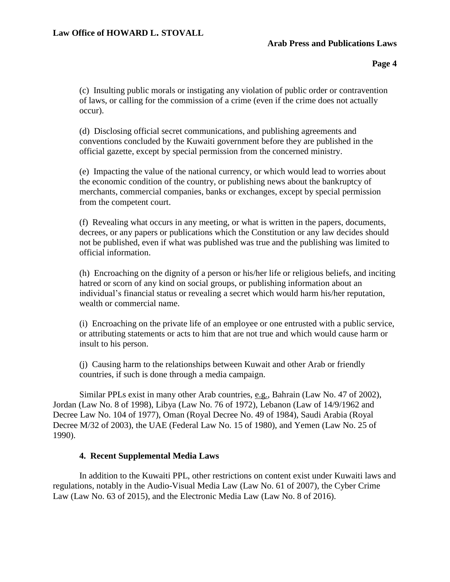# **Arab Press and Publications Laws**

**Page 4**

(c) Insulting public morals or instigating any violation of public order or contravention of laws, or calling for the commission of a crime (even if the crime does not actually occur).

(d) Disclosing official secret communications, and publishing agreements and conventions concluded by the Kuwaiti government before they are published in the official gazette, except by special permission from the concerned ministry.

(e) Impacting the value of the national currency, or which would lead to worries about the economic condition of the country, or publishing news about the bankruptcy of merchants, commercial companies, banks or exchanges, except by special permission from the competent court.

(f) Revealing what occurs in any meeting, or what is written in the papers, documents, decrees, or any papers or publications which the Constitution or any law decides should not be published, even if what was published was true and the publishing was limited to official information.

(h) Encroaching on the dignity of a person or his/her life or religious beliefs, and inciting hatred or scorn of any kind on social groups, or publishing information about an individual's financial status or revealing a secret which would harm his/her reputation, wealth or commercial name.

(i) Encroaching on the private life of an employee or one entrusted with a public service, or attributing statements or acts to him that are not true and which would cause harm or insult to his person.

(j) Causing harm to the relationships between Kuwait and other Arab or friendly countries, if such is done through a media campaign.

Similar PPLs exist in many other Arab countries, e.g., Bahrain (Law No. 47 of 2002), Jordan (Law No. 8 of 1998), Libya (Law No. 76 of 1972), Lebanon (Law of 14/9/1962 and Decree Law No. 104 of 1977), Oman (Royal Decree No. 49 of 1984), Saudi Arabia (Royal Decree M/32 of 2003), the UAE (Federal Law No. 15 of 1980), and Yemen (Law No. 25 of 1990).

# **4. Recent Supplemental Media Laws**

In addition to the Kuwaiti PPL, other restrictions on content exist under Kuwaiti laws and regulations, notably in the Audio-Visual Media Law (Law No. 61 of 2007), the Cyber Crime Law (Law No. 63 of 2015), and the Electronic Media Law (Law No. 8 of 2016).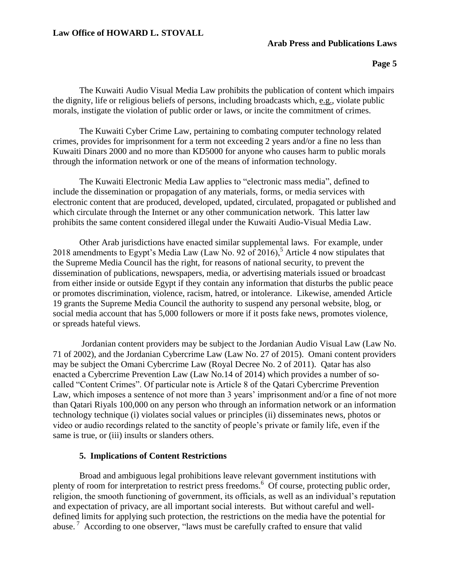# **Law Office of HOWARD L. STOVALL**

#### **Arab Press and Publications Laws**

**Page 5**

The Kuwaiti Audio Visual Media Law prohibits the publication of content which impairs the dignity, life or religious beliefs of persons, including broadcasts which, e.g., violate public morals, instigate the violation of public order or laws, or incite the commitment of crimes.

The Kuwaiti Cyber Crime Law, pertaining to combating computer technology related crimes, provides for imprisonment for a term not exceeding 2 years and/or a fine no less than Kuwaiti Dinars 2000 and no more than KD5000 for anyone who causes harm to public morals through the information network or one of the means of information technology.

The Kuwaiti Electronic Media Law applies to "electronic mass media", defined to include the dissemination or propagation of any materials, forms, or media services with electronic content that are produced, developed, updated, circulated, propagated or published and which circulate through the Internet or any other communication network. This latter law prohibits the same content considered illegal under the Kuwaiti Audio-Visual Media Law.

Other Arab jurisdictions have enacted similar supplemental laws. For example, under 2018 amendments to Egypt's Media Law (Law No. 92 of 2016),<sup>5</sup> Article 4 now stipulates that the Supreme Media Council has the right, for reasons of national security, to prevent the dissemination of publications, newspapers, media, or advertising materials issued or broadcast from either inside or outside Egypt if they contain any information that disturbs the public peace or promotes discrimination, violence, racism, hatred, or intolerance. Likewise, amended Article 19 grants the Supreme Media Council the authority to suspend any personal website, blog, or social media account that has 5,000 followers or more if it posts fake news, promotes violence, or spreads hateful views.

Jordanian content providers may be subject to the Jordanian Audio Visual Law (Law No. 71 of 2002), and the Jordanian Cybercrime Law (Law No. 27 of 2015). Omani content providers may be subject the Omani Cybercrime Law (Royal Decree No. 2 of 2011). Qatar has also enacted a Cybercrime Prevention Law (Law No.14 of 2014) which provides a number of socalled "Content Crimes". Of particular note is Article 8 of the Qatari Cybercrime Prevention Law, which imposes a sentence of not more than 3 years' imprisonment and/or a fine of not more than Qatari Riyals 100,000 on any person who through an information network or an information technology technique (i) violates social values or principles (ii) disseminates news, photos or video or audio recordings related to the sanctity of people's private or family life, even if the same is true, or (iii) insults or slanders others.

#### **5. Implications of Content Restrictions**

Broad and ambiguous legal prohibitions leave relevant government institutions with plenty of room for interpretation to restrict press freedoms.<sup>6</sup> Of course, protecting public order, religion, the smooth functioning of government, its officials, as well as an individual's reputation and expectation of privacy, are all important social interests. But without careful and welldefined limits for applying such protection, the restrictions on the media have the potential for abuse.<sup>7</sup> According to one observer, "laws must be carefully crafted to ensure that valid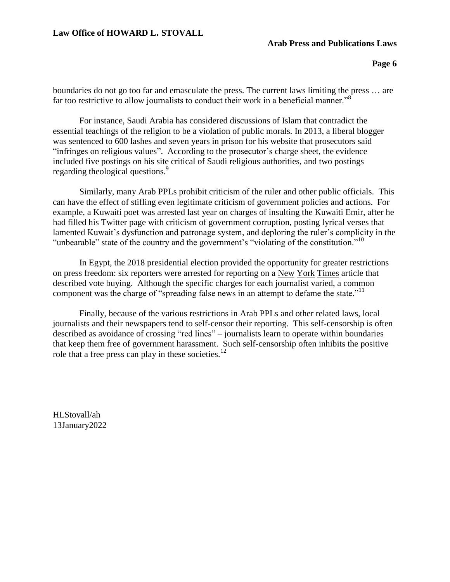# **Law Office of HOWARD L. STOVALL**

#### **Arab Press and Publications Laws**

**Page 6**

boundaries do not go too far and emasculate the press. The current laws limiting the press … are far too restrictive to allow journalists to conduct their work in a beneficial manner."<sup>8</sup>

For instance, Saudi Arabia has considered discussions of Islam that contradict the essential teachings of the religion to be a violation of public morals. In 2013, a liberal blogger was sentenced to 600 lashes and seven years in prison for his website that prosecutors said "infringes on religious values". According to the prosecutor's charge sheet, the evidence included five postings on his site critical of Saudi religious authorities, and two postings regarding theological questions.<sup>9</sup>

Similarly, many Arab PPLs prohibit criticism of the ruler and other public officials. This can have the effect of stifling even legitimate criticism of government policies and actions. For example, a Kuwaiti poet was arrested last year on charges of insulting the Kuwaiti Emir, after he had filled his Twitter page with criticism of government corruption, posting lyrical verses that lamented Kuwait's dysfunction and patronage system, and deploring the ruler's complicity in the "unbearable" state of the country and the government's "violating of the constitution."<sup>10</sup>

In Egypt, the 2018 presidential election provided the opportunity for greater restrictions on press freedom: six reporters were arrested for reporting on a New York Times article that described vote buying. Although the specific charges for each journalist varied, a common component was the charge of "spreading false news in an attempt to defame the state."<sup>11</sup>

Finally, because of the various restrictions in Arab PPLs and other related laws, local journalists and their newspapers tend to self-censor their reporting. This self-censorship is often described as avoidance of crossing "red lines" – journalists learn to operate within boundaries that keep them free of government harassment. Such self-censorship often inhibits the positive role that a free press can play in these societies.<sup>12</sup>

HLStovall/ah 13January2022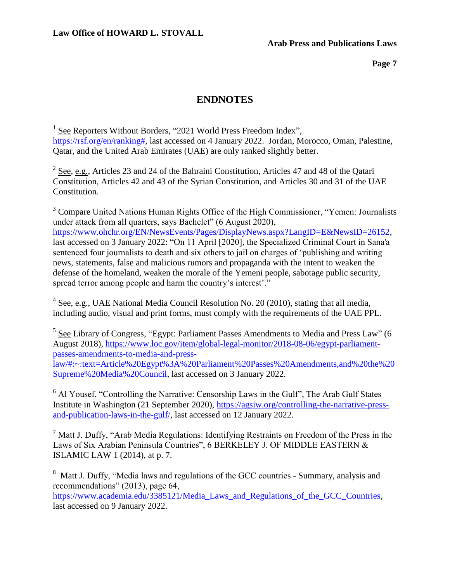ı.

**Page 7**

# **ENDNOTES**

<sup>1</sup> See Reporters Without Borders, "2021 World Press Freedom Index", [https://rsf.org/en/ranking#,](https://rsf.org/en/ranking) last accessed on 4 January 2022. Jordan, Morocco, Oman, Palestine, Qatar, and the United Arab Emirates (UAE) are only ranked slightly better.

 $2$  See, e.g., Articles 23 and 24 of the Bahraini Constitution, Articles 47 and 48 of the Qatari Constitution, Articles 42 and 43 of the Syrian Constitution, and Articles 30 and 31 of the UAE Constitution.

 $3$  Compare United Nations Human Rights Office of the High Commissioner, "Yemen: Journalists" under attack from all quarters, says Bachelet" (6 August 2020), [https://www.ohchr.org/EN/NewsEvents/Pages/DisplayNews.aspx?LangID=E&NewsID=26152,](https://www.ohchr.org/EN/NewsEvents/Pages/DisplayNews.aspx?LangID=E&NewsID=26152) last accessed on 3 January 2022: "On 11 April [2020], the Specialized Criminal Court in Sana'a sentenced four journalists to death and six others to jail on charges of 'publishing and writing news, statements, false and malicious rumors and propaganda with the intent to weaken the defense of the homeland, weaken the morale of the Yemeni people, sabotage public security, spread terror among people and harm the country's interest'."

 $4 \text{ See, e.g., } \text{UAE National Media Council Resolution No. 20 (2010), stating that all media, }$ including audio, visual and print forms, must comply with the requirements of the UAE PPL.

 $5$  See Library of Congress, "Egypt: Parliament Passes Amendments to Media and Press Law" (6 August 2018), [https://www.loc.gov/item/global-legal-monitor/2018-08-06/egypt-parliament](https://www.loc.gov/item/global-legal-monitor/2018-08-06/egypt-parliament-passes-amendments-to-media-and-press-law/#:~:text=Article%20Egypt%3A%20Parliament%20Passes%20Amendments,and%20the%20Supreme%20Media%20Council)[passes-amendments-to-media-and-press](https://www.loc.gov/item/global-legal-monitor/2018-08-06/egypt-parliament-passes-amendments-to-media-and-press-law/#:~:text=Article%20Egypt%3A%20Parliament%20Passes%20Amendments,and%20the%20Supreme%20Media%20Council)[law/#:~:text=Article%20Egypt%3A%20Parliament%20Passes%20Amendments,and%20the%20](https://www.loc.gov/item/global-legal-monitor/2018-08-06/egypt-parliament-passes-amendments-to-media-and-press-law/#:~:text=Article%20Egypt%3A%20Parliament%20Passes%20Amendments,and%20the%20Supreme%20Media%20Council) [Supreme%20Media%20Council,](https://www.loc.gov/item/global-legal-monitor/2018-08-06/egypt-parliament-passes-amendments-to-media-and-press-law/#:~:text=Article%20Egypt%3A%20Parliament%20Passes%20Amendments,and%20the%20Supreme%20Media%20Council) last accessed on 3 January 2022.

<sup>6</sup> Al Yousef, "Controlling the Narrative: Censorship Laws in the Gulf", The Arab Gulf States Institute in Washington (21 September 2020), [https://agsiw.org/controlling-the-narrative-press](https://agsiw.org/controlling-the-narrative-press-and-publication-laws-in-the-gulf/)[and-publication-laws-in-the-gulf/,](https://agsiw.org/controlling-the-narrative-press-and-publication-laws-in-the-gulf/) last accessed on 12 January 2022.

 $<sup>7</sup>$  Matt J. Duffy, "Arab Media Regulations: Identifying Restraints on Freedom of the Press in the</sup> Laws of Six Arabian Peninsula Countries", 6 BERKELEY J. OF MIDDLE EASTERN & ISLAMIC LAW 1 (2014), at p. 7.

<sup>8</sup> Matt J. Duffy, "Media laws and regulations of the GCC countries - Summary, analysis and recommendations" (2013), page 64,

[https://www.academia.edu/3385121/Media\\_Laws\\_and\\_Regulations\\_of\\_the\\_GCC\\_Countries,](https://www.academia.edu/3385121/Media_Laws_and_Regulations_of_the_GCC_Countries) last accessed on 9 January 2022.